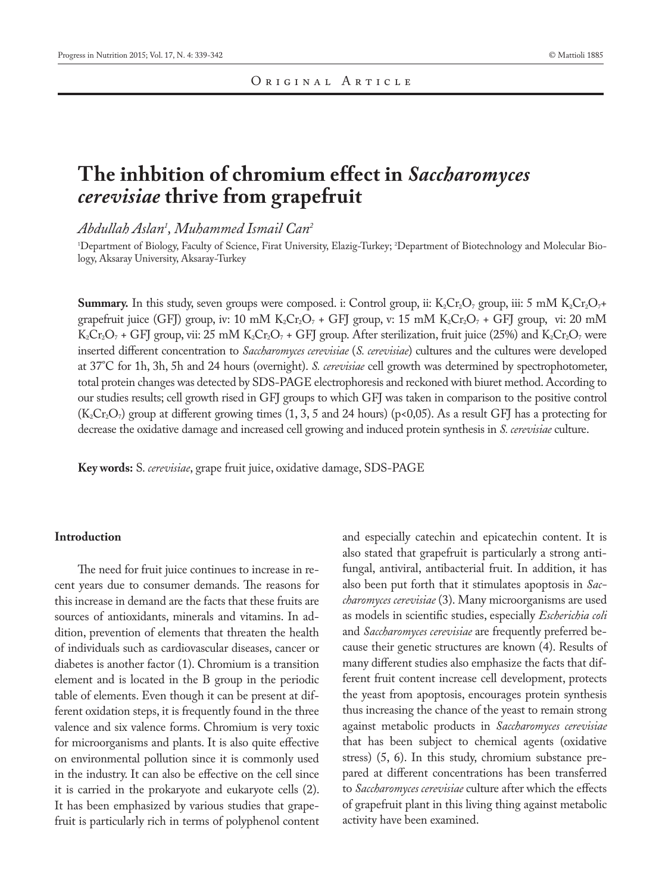# **The inhbition of chromium effect in** *Saccharomyces cerevisiae* **thrive from grapefruit**

*Abdullah Aslan1 , Muhammed Ismail Can2*

1 Department of Biology, Faculty of Science, Firat University, Elazig-Turkey; 2 Department of Biotechnology and Molecular Biology, Aksaray University, Aksaray-Turkey

**Summary.** In this study, seven groups were composed. i: Control group, ii:  $K_2Cr_2O_7$  group, iii: 5 mM  $K_2Cr_2O_7$ + grapefruit juice (GFJ) group, iv: 10 mM K<sub>2</sub>Cr<sub>2</sub>O<sub>7</sub> + GFJ group, v: 15 mM K<sub>2</sub>Cr<sub>2</sub>O<sub>7</sub> + GFJ group, vi: 20 mM  $K_2Cr_2O_7$  + GFJ group, vii: 25 mM  $K_2Cr_2O_7$  + GFJ group. After sterilization, fruit juice (25%) and  $K_2Cr_2O_7$  were inserted different concentration to *Saccharomyces cerevisiae* (*S. cerevisiae*) cultures and the cultures were developed at 37°C for 1h, 3h, 5h and 24 hours (overnight). *S. cerevisiae* cell growth was determined by spectrophotometer, total protein changes was detected by SDS-PAGE electrophoresis and reckoned with biuret method. According to our studies results; cell growth rised in GFJ groups to which GFJ was taken in comparison to the positive control  $(K_2Cr_2O_7)$  group at different growing times (1, 3, 5 and 24 hours) (p<0,05). As a result GFJ has a protecting for decrease the oxidative damage and increased cell growing and induced protein synthesis in *S. cerevisiae* culture.

**Key words:** S. *cerevisiae*, grape fruit juice, oxidative damage, SDS-PAGE

## **Introduction**

The need for fruit juice continues to increase in recent years due to consumer demands. The reasons for this increase in demand are the facts that these fruits are sources of antioxidants, minerals and vitamins. In addition, prevention of elements that threaten the health of individuals such as cardiovascular diseases, cancer or diabetes is another factor (1). Chromium is a transition element and is located in the B group in the periodic table of elements. Even though it can be present at different oxidation steps, it is frequently found in the three valence and six valence forms. Chromium is very toxic for microorganisms and plants. It is also quite effective on environmental pollution since it is commonly used in the industry. It can also be effective on the cell since it is carried in the prokaryote and eukaryote cells (2). It has been emphasized by various studies that grapefruit is particularly rich in terms of polyphenol content and especially catechin and epicatechin content. It is also stated that grapefruit is particularly a strong antifungal, antiviral, antibacterial fruit. In addition, it has also been put forth that it stimulates apoptosis in *Saccharomyces cerevisiae* (3). Many microorganisms are used as models in scientific studies, especially *Escherichia coli* and *Saccharomyces cerevisiae* are frequently preferred because their genetic structures are known (4). Results of many different studies also emphasize the facts that different fruit content increase cell development, protects the yeast from apoptosis, encourages protein synthesis thus increasing the chance of the yeast to remain strong against metabolic products in *Saccharomyces cerevisiae* that has been subject to chemical agents (oxidative stress) (5, 6). In this study, chromium substance prepared at different concentrations has been transferred to *Saccharomyces cerevisiae* culture after which the effects of grapefruit plant in this living thing against metabolic activity have been examined.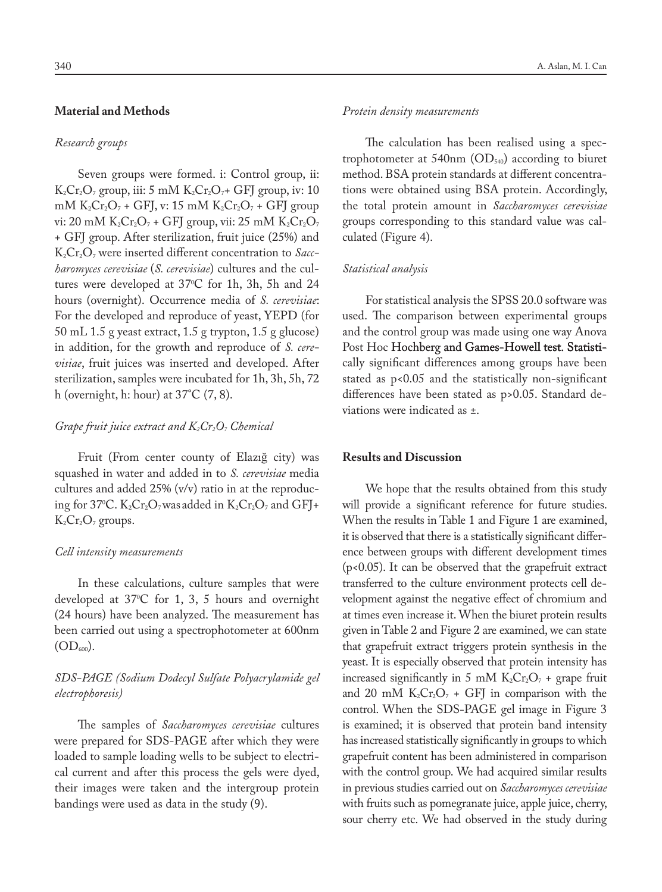## **Material and Methods**

#### *Research groups*

Seven groups were formed. i: Control group, ii:  $K_2Cr_2O_7$  group, iii: 5 mM  $K_2Cr_2O_7$ + GFJ group, iv: 10 mM  $K_2Cr_2O_7$  + GFJ, v: 15 mM  $K_2Cr_2O_7$  + GFJ group vi: 20 mM  $K_2Cr_2O_7$  + GFJ group, vii: 25 mM  $K_2Cr_2O_7$ + GFJ group. After sterilization, fruit juice (25%) and K2Cr2O7 were inserted different concentration to *Saccharomyces cerevisiae* (*S. cerevisiae*) cultures and the cultures were developed at 37°C for 1h, 3h, 5h and 24 hours (overnight). Occurrence media of *S. cerevisiae*: For the developed and reproduce of yeast, YEPD (for 50 mL 1.5 g yeast extract, 1.5 g trypton, 1.5 g glucose) in addition, for the growth and reproduce of *S. cerevisiae*, fruit juices was inserted and developed. After sterilization, samples were incubated for 1h, 3h, 5h, 72 h (overnight, h: hour) at 37°C (7, 8).

## *Grape fruit juice extract and K<sub>2</sub>Cr<sub>2</sub>O<sub>7</sub> <i>Chemical*

Fruit (From center county of Elazığ city) was squashed in water and added in to *S. cerevisiae* media cultures and added 25% (v/v) ratio in at the reproducing for 37°C.  $\rm K_2Cr_2O_7$ was added in  $\rm K_2Cr_2O_7$  and GFJ+  $K_2Cr_2O_7$  groups.

## *Cell intensity measurements*

In these calculations, culture samples that were developed at 370 C for 1, 3, 5 hours and overnight (24 hours) have been analyzed. The measurement has been carried out using a spectrophotometer at 600nm  $(OD_{600}).$ 

# *SDS-PAGE (Sodium Dodecyl Sulfate Polyacrylamide gel electrophoresis)*

The samples of *Saccharomyces cerevisiae* cultures were prepared for SDS-PAGE after which they were loaded to sample loading wells to be subject to electrical current and after this process the gels were dyed, their images were taken and the intergroup protein bandings were used as data in the study (9).

#### *Protein density measurements*

The calculation has been realised using a spectrophotometer at 540nm  $OD<sub>540</sub>$  according to biuret method. BSA protein standards at different concentrations were obtained using BSA protein. Accordingly, the total protein amount in *Saccharomyces cerevisiae* groups corresponding to this standard value was calculated (Figure 4).

## *Statistical analysis*

For statistical analysis the SPSS 20.0 software was used. The comparison between experimental groups and the control group was made using one way Anova Post Hoc Hochberg and Games-Howell test. Statistically significant differences among groups have been stated as p<0.05 and the statistically non-significant differences have been stated as p>0.05. Standard deviations were indicated as ±.

## **Results and Discussion**

We hope that the results obtained from this study will provide a significant reference for future studies. When the results in Table 1 and Figure 1 are examined, it is observed that there is a statistically significant difference between groups with different development times (p<0.05). It can be observed that the grapefruit extract transferred to the culture environment protects cell development against the negative effect of chromium and at times even increase it. When the biuret protein results given in Table 2 and Figure 2 are examined, we can state that grapefruit extract triggers protein synthesis in the yeast. It is especially observed that protein intensity has increased significantly in 5 mM  $K_2Cr_2O_7$  + grape fruit and 20 mM  $K_2Cr_2O_7$  + GFJ in comparison with the control. When the SDS-PAGE gel image in Figure 3 is examined; it is observed that protein band intensity has increased statistically significantly in groups to which grapefruit content has been administered in comparison with the control group. We had acquired similar results in previous studies carried out on *Saccharomyces cerevisiae*  with fruits such as pomegranate juice, apple juice, cherry, sour cherry etc. We had observed in the study during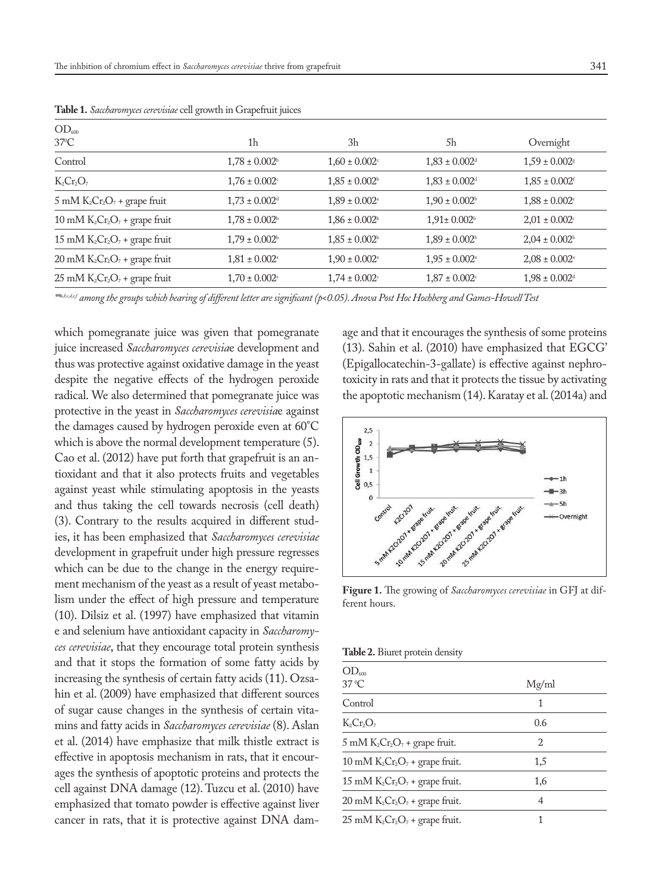| $OD_{600}$                         |                               |                               |                               |                               |
|------------------------------------|-------------------------------|-------------------------------|-------------------------------|-------------------------------|
| $37^{\circ}$ C                     | 1h                            | 3h                            | 5h                            | Overnight                     |
| Control                            | $1,78 \pm 0.002^{\rm b}$      | $1,60 \pm 0.002$ <sup>c</sup> | $1,83 \pm 0.002$ <sup>d</sup> | $1.59 \pm 0.002$              |
| $K_2Cr_2O_7$                       | $1,76 \pm 0.002$              | $1,85 \pm 0.002$ <sup>b</sup> | $1,83 \pm 0.002$ <sup>d</sup> | $1,85 \pm 0.002$ <sup>f</sup> |
| $5$ mM $K_2Cr_2O_7$ + grape fruit  | $1.73 \pm 0.002$ <sup>d</sup> | $1.89 \pm 0.002$ <sup>a</sup> | $1.90 \pm 0.002$ <sup>b</sup> | $1.88 \pm 0.002$ <sup>c</sup> |
| 10 mM $K_2Cr_2O_7$ + grape fruit   | $1,78 \pm 0.002$ <sup>b</sup> | $1,86 \pm 0.002$ <sup>b</sup> | $1,91 \pm 0.002$ <sup>b</sup> | $2.01 \pm 0.002$              |
| 15 mM $K_2Cr_2O_7$ + grape fruit   | $1,79 \pm 0.002^{\rm b}$      | $1,85 \pm 0.002$ <sup>b</sup> | $1.89 \pm 0.002$ <sup>b</sup> | $2.04 \pm 0.002$ <sup>b</sup> |
| $20$ mM $K_2Cr_2O_7$ + grape fruit | $1,81 \pm 0.002$ <sup>a</sup> | $1,90 \pm 0.002$ <sup>a</sup> | $1.95 \pm 0.002$ <sup>a</sup> | $2,08 \pm 0.002$ <sup>a</sup> |
| $25$ mM $K_2Cr_2O_7$ + grape fruit | $1,70 \pm 0.002$              | $1,74 \pm 0.002$ <sup>c</sup> | $1,87 \pm 0.002$ <sup>c</sup> | $1,98 \pm 0.002$ <sup>d</sup> |
|                                    |                               |                               |                               |                               |

**Table 1.** *Saccharomyces cerevisiae* cell growth in Grapefruit juices

*\*\*a,b,c,d,e,f among the groups which bearing of different letter are significant (p<0.05). Anova Post Hoc Hochberg and Games-Howell Test*

which pomegranate juice was given that pomegranate juice increased *Saccharomyces cerevisia*e development and thus was protective against oxidative damage in the yeast despite the negative effects of the hydrogen peroxide radical. We also determined that pomegranate juice was protective in the yeast in *Saccharomyces cerevisia*e against the damages caused by hydrogen peroxide even at 60°C which is above the normal development temperature (5). Cao et al. (2012) have put forth that grapefruit is an antioxidant and that it also protects fruits and vegetables against yeast while stimulating apoptosis in the yeasts and thus taking the cell towards necrosis (cell death) (3). Contrary to the results acquired in different studies, it has been emphasized that *Saccharomyces cerevisiae* development in grapefruit under high pressure regresses which can be due to the change in the energy requirement mechanism of the yeast as a result of yeast metabolism under the effect of high pressure and temperature (10). Dilsiz et al. (1997) have emphasized that vitamin e and selenium have antioxidant capacity in *Saccharomyces cerevisiae*, that they encourage total protein synthesis and that it stops the formation of some fatty acids by increasing the synthesis of certain fatty acids (11). Ozsahin et al. (2009) have emphasized that different sources of sugar cause changes in the synthesis of certain vitamins and fatty acids in *Saccharomyces cerevisiae* (8). Aslan et al. (2014) have emphasize that milk thistle extract is effective in apoptosis mechanism in rats, that it encourages the synthesis of apoptotic proteins and protects the cell against DNA damage (12). Tuzcu et al. (2010) have emphasized that tomato powder is effective against liver cancer in rats, that it is protective against DNA damage and that it encourages the synthesis of some proteins (13). Sahin et al. (2010) have emphasized that EGCG' (Epigallocatechin-3-gallate) is effective against nephrotoxicity in rats and that it protects the tissue by activating the apoptotic mechanism (14). Karatay et al. (2014a) and



**Figure 1.** The growing of *Saccharomyces cerevisiae* in GFJ at different hours.

**Table 2.** Biuret protein density

| Mg/ml         |  |
|---------------|--|
| 1             |  |
| 0.6           |  |
| $\mathcal{D}$ |  |
| 1,5           |  |
| 1,6           |  |
| 4             |  |
|               |  |
|               |  |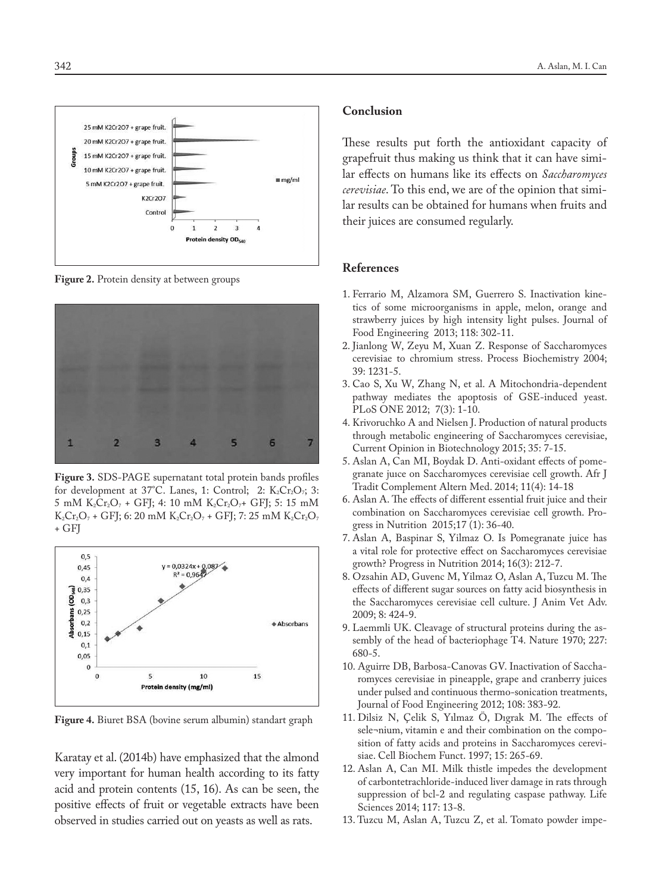

**Figure 2.** Protein density at between groups



**Figure 3.** SDS-PAGE supernatant total protein bands profiles for development at  $37^{\circ}$ C. Lanes, 1: Control; 2: K<sub>2</sub>Cr<sub>2</sub>O<sub>7</sub>; 3: 5 mM  $K_2Cr_2O_7$  + GFJ; 4: 10 mM  $K_2Cr_2O_7$ + GFJ; 5: 15 mM  $K_2Cr_2O_7$  + GFJ; 6: 20 mM  $K_2Cr_2O_7$  + GFJ; 7: 25 mM  $K_2Cr_2O_7$ + GFJ



**Figure 4.** Biuret BSA (bovine serum albumin) standart graph

Karatay et al. (2014b) have emphasized that the almond very important for human health according to its fatty acid and protein contents (15, 16). As can be seen, the positive effects of fruit or vegetable extracts have been observed in studies carried out on yeasts as well as rats.

## **Conclusion**

These results put forth the antioxidant capacity of grapefruit thus making us think that it can have similar effects on humans like its effects on *Saccharomyces cerevisiae*. To this end, we are of the opinion that similar results can be obtained for humans when fruits and their juices are consumed regularly.

#### **References**

- 1. Ferrario M, Alzamora SM, Guerrero S. Inactivation kinetics of some microorganisms in apple, melon, orange and strawberry juices by high intensity light pulses. Journal of Food Engineering 2013; 118: 302-11.
- 2. Jianlong W, Zeyu M, Xuan Z. Response of Saccharomyces cerevisiae to chromium stress. Process Biochemistry 2004; 39: 1231-5.
- 3. Cao S, Xu W, Zhang N, et al. A Mitochondria-dependent pathway mediates the apoptosis of GSE-induced yeast. PLoS ONE 2012; 7(3): 1-10.
- 4. Krivoruchko A and Nielsen J. Production of natural products through metabolic engineering of Saccharomyces cerevisiae, Current Opinion in Biotechnology 2015; 35: 7-15.
- 5. Aslan A, Can MI, Boydak D. Anti-oxidant effects of pomegranate juıce on Saccharomyces cerevisiae cell growth. Afr J Tradit Complement Altern Med. 2014; 11(4): 14-18
- 6. Aslan A. The effects of different essential fruit juice and their combination on Saccharomyces cerevisiae cell growth. Progress in Nutrition 2015;17 (1): 36-40.
- 7. Aslan A, Baspinar S, Yilmaz O. Is Pomegranate juice has a vital role for protective effect on Saccharomyces cerevisiae growth? Progress in Nutrition 2014; 16(3): 212-7.
- 8. Ozsahin AD, Guvenc M, Yilmaz O, Aslan A, Tuzcu M. The effects of different sugar sources on fatty acid biosynthesis in the Saccharomyces cerevisiae cell culture. J Anim Vet Adv. 2009; 8: 424-9.
- 9. Laemmli UK. Cleavage of structural proteins during the assembly of the head of bacteriophage T4. Nature 1970; 227: 680-5.
- 10. Aguirre DB, Barbosa-Canovas GV. Inactivation of Saccharomyces cerevisiae in pineapple, grape and cranberry juices under pulsed and continuous thermo-sonication treatments, Journal of Food Engineering 2012; 108: 383-92.
- 11. Dilsiz N, Çelik S, Yılmaz Ö, Dıgrak M. The effects of sele¬nium, vitamin e and their combination on the composition of fatty acids and proteins in Saccharomyces cerevisiae. Cell Biochem Funct. 1997; 15: 265-69.
- 12. Aslan A, Can MI. Milk thistle impedes the development of carbontetrachloride-induced liver damage in rats through suppression of bcl-2 and regulating caspase pathway. Life Sciences 2014; 117: 13-8.
- 13. Tuzcu M, Aslan A, Tuzcu Z, et al. Tomato powder impe-